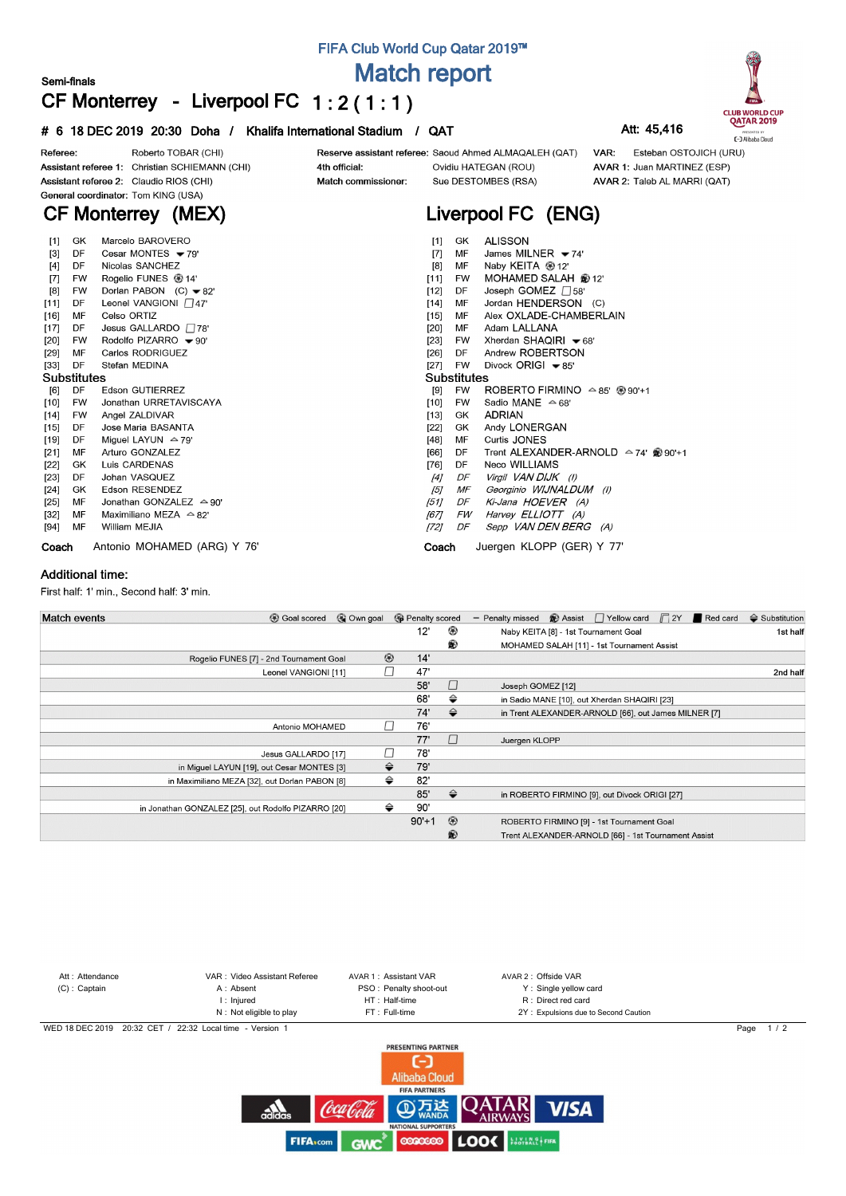## **FIFA Club World Cup Qatar 2019™**

**Match report**

# **CF Monterrey - Liverpool FC 1 : 2 ( 1 : 1 )**

### **# 6 18 DEC 2019 20:30 Doha / Khalifa International Stadium / QAT Att: 45,416**



|        |                    |                                              | .                                  |             |                                                          |  |  |  |  |  |  |
|--------|--------------------|----------------------------------------------|------------------------------------|-------------|----------------------------------------------------------|--|--|--|--|--|--|
| [4]    | DF                 | Nicolas SANCHEZ                              | [8]                                | MF          | Naby KEITA <sup>@</sup> 12'                              |  |  |  |  |  |  |
| $[7]$  | FW                 | Rogelio FUNES <sup>4</sup> 14                | [11]                               | FW          | MOHAMED SALAH @ 12'                                      |  |  |  |  |  |  |
| [8]    | FW                 | Dorlan PABON $(C)$ $\blacktriangleright$ 82' | $[12]$                             | DF          | Joseph GOMEZ 758'                                        |  |  |  |  |  |  |
| $[11]$ | DF                 | Leonel VANGIONI $\Box$ 47'                   | $[14]$                             | МF          | Jordan HENDERSON (C)                                     |  |  |  |  |  |  |
| $[16]$ | MF                 | Celso ORTIZ                                  | $[15]$                             | МF          | Alex OXLADE-CHAMBERLAIN                                  |  |  |  |  |  |  |
| [17]   | DF                 | Jesus GALLARDO $\Box$ 78'                    | [20]                               | MF          | Adam LALLANA                                             |  |  |  |  |  |  |
| [20]   | FW                 | Rodolfo PIZARRO - 90'                        | [23]                               | FW          | Xherdan SHAQIRI <del>▼</del> 68'                         |  |  |  |  |  |  |
| [29]   | MF                 | Carlos RODRIGUEZ                             | [26]                               | DF          | Andrew ROBERTSON                                         |  |  |  |  |  |  |
| [33]   | DF                 | Stefan MEDINA                                | [27]                               | FW          | Divock ORIGI $\blacktriangleright$ 85'                   |  |  |  |  |  |  |
|        | <b>Substitutes</b> |                                              |                                    | Substitutes |                                                          |  |  |  |  |  |  |
| [6]    | DF                 | Edson GUTIERREZ                              | [9]                                | FW          | ROBERTO FIRMINO $\triangle$ 85' $\circledast$ 90'+1      |  |  |  |  |  |  |
| [10]   | FW                 | Jonathan URRETAVISCAYA                       | $[10]$                             | FW          | Sadio MANE $\triangle$ 68'                               |  |  |  |  |  |  |
| [14]   | FW                 | Angel ZALDIVAR                               | $[13]$                             | GK          | <b>ADRIAN</b>                                            |  |  |  |  |  |  |
| $[15]$ | DF                 | Jose Maria BASANTA                           | [22]                               | GK          | Andy LONERGAN                                            |  |  |  |  |  |  |
| [19]   | DF                 | Miguel LAYUN $\approx$ 79'                   | $[48]$                             | MF          | Curtis JONES                                             |  |  |  |  |  |  |
| [21]   | MF                 | Arturo GONZALEZ                              | [66]                               | DF          | Trent ALEXANDER-ARNOLD $\triangle$ 74' $\circledR$ 90'+1 |  |  |  |  |  |  |
| $[22]$ | GK                 | Luis CARDENAS                                | [76]                               | DF          | Neco WILLIAMS                                            |  |  |  |  |  |  |
| [23]   | DF                 | Johan VASQUEZ                                | [4]                                | DF          | Virgil VAN DIJK (I)                                      |  |  |  |  |  |  |
| [24]   | GK                 | Edson RESENDEZ                               | [5]                                | МF          | Georginio WIJNALDUM (I)                                  |  |  |  |  |  |  |
| [25]   | MF                 | Jonathan GONZALEZ $\triangle$ 90'            | [51]                               | DF          | Ki-Jana HOEVER (A)                                       |  |  |  |  |  |  |
| [32]   | МF                 | Maximiliano MEZA $\triangle$ 82'             | [67]                               | FW          | Harvey ELLIOTT (A)                                       |  |  |  |  |  |  |
| [94]   | МF                 | William MEJIA                                | [72]                               | DF          | Sepp VAN DEN BERG (A)                                    |  |  |  |  |  |  |
| Coach  |                    | Antonio MOHAMED (ARG) Y 76'                  | Juergen KLOPP (GER) Y 77'<br>Coach |             |                                                          |  |  |  |  |  |  |

#### **Additional time:**

**Semi-finals**

First half: 1' min., Second half: 3' min.

| <b>Match events</b><br><b>B</b> Goal scored         | © Own goal |                | <b>B</b> Penalty scored |               | <b>Assist</b> Yellow card <b>Γ2Y</b> Red card<br>- Penalty missed | $\triangle$ Substitution |
|-----------------------------------------------------|------------|----------------|-------------------------|---------------|-------------------------------------------------------------------|--------------------------|
|                                                     |            |                | 12'                     | ◉             | Naby KEITA [8] - 1st Tournament Goal                              | 1st half                 |
|                                                     |            |                |                         | ®             | MOHAMED SALAH [11] - 1st Tournament Assist                        |                          |
| Rogelio FUNES [7] - 2nd Tournament Goal             |            | $^{\circledR}$ | 14'                     |               |                                                                   |                          |
| Leonel VANGIONI [11]                                |            |                | 47'                     |               |                                                                   | 2nd half                 |
|                                                     |            |                | 58'                     | П             | Joseph GOMEZ [12]                                                 |                          |
|                                                     |            |                | 68'                     | ⇔             | in Sadio MANE [10], out Xherdan SHAQIRI [23]                      |                          |
|                                                     |            |                | 74'                     | $\Rightarrow$ | in Trent ALEXANDER-ARNOLD [66], out James MILNER [7]              |                          |
| Antonio MOHAMED                                     |            |                | 76'                     |               |                                                                   |                          |
|                                                     |            |                | 77'                     | $\Box$        | Juergen KLOPP                                                     |                          |
| Jesus GALLARDO [17]                                 |            |                | 78'                     |               |                                                                   |                          |
| in Miguel LAYUN [19], out Cesar MONTES [3]          |            | ≙              | 79'                     |               |                                                                   |                          |
| in Maximiliano MEZA [32], out Dorlan PABON [8]      |            | ⇔              | 82'                     |               |                                                                   |                          |
|                                                     |            |                | 85'                     | ♦             | in ROBERTO FIRMINO [9], out Divock ORIGI [27]                     |                          |
| in Jonathan GONZALEZ [25], out Rodolfo PIZARRO [20] |            | ⇔              | 90'                     |               |                                                                   |                          |
|                                                     |            |                | $90'+1$                 | $^{\circ}$    | ROBERTO FIRMINO [9] - 1st Tournament Goal                         |                          |
|                                                     |            |                |                         | ⊛             | Trent ALEXANDER-ARNOLD [66] - 1st Tournament Assist               |                          |





**CLUB WORLD CUP**<br>QATAR 2019